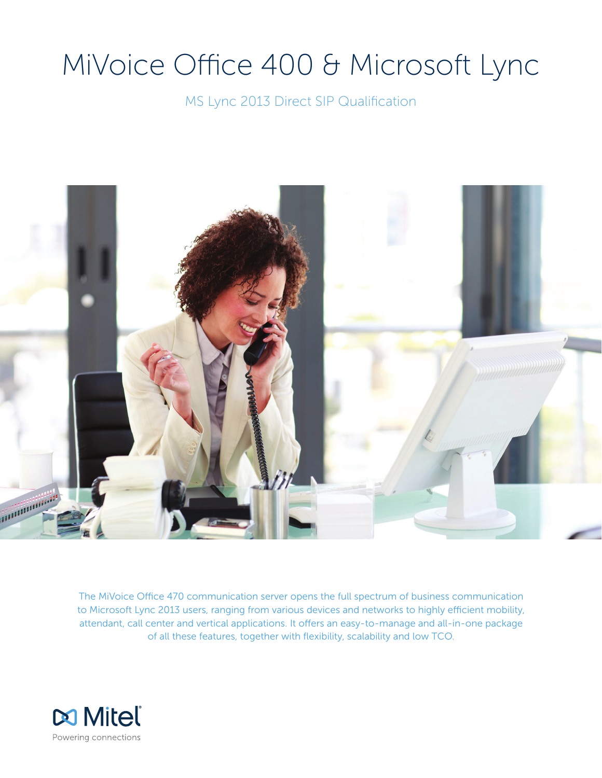# MiVoice Office 400 & Microsoft Lync

MS Lync 2013 Direct SIP Qualification



The MiVoice Office 470 communication server opens the full spectrum of business communication to Microsoft Lync 2013 users, ranging from various devices and networks to highly efficient mobility, attendant, call center and vertical applications. It offers an easy-to-manage and all-in-one package of all these features, together with flexibility, scalability and low TCO.

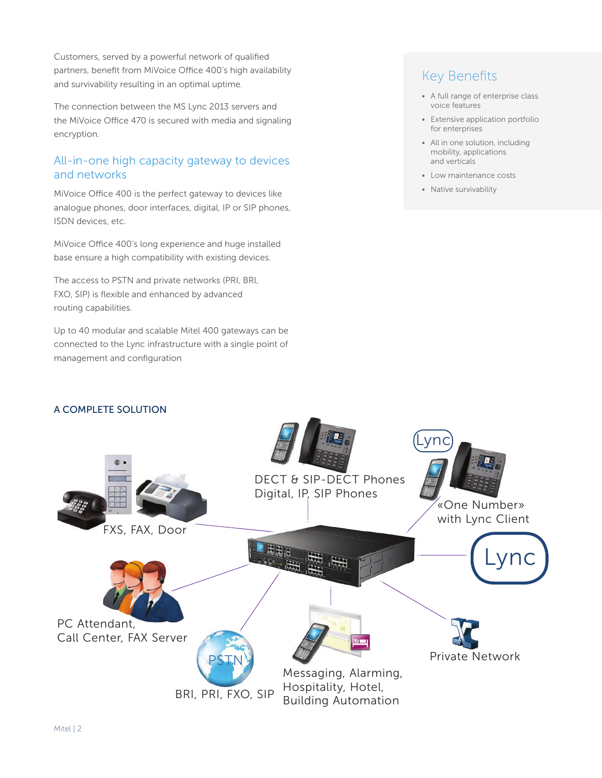Customers, served by a powerful network of qualified partners, benefit from MiVoice Office 400's high availability and survivability resulting in an optimal uptime.

The connection between the MS Lync 2013 servers and the MiVoice Office 470 is secured with media and signaling encryption.

## All-in-one high capacity gateway to devices and networks

MiVoice Office 400 is the perfect gateway to devices like analogue phones, door interfaces, digital, IP or SIP phones, ISDN devices, etc.

MiVoice Office 400's long experience and huge installed base ensure a high compatibility with existing devices.

The access to PSTN and private networks (PRI, BRI, FXO, SIP) is flexible and enhanced by advanced routing capabilities.

Up to 40 modular and scalable Mitel 400 gateways can be connected to the Lync infrastructure with a single point of management and configuration

## Key Benefits

- A full range of enterprise class voice features
- Extensive application portfolio for enterprises
- All in one solution, including mobility, applications and verticals
- Low maintenance costs
- Native survivability

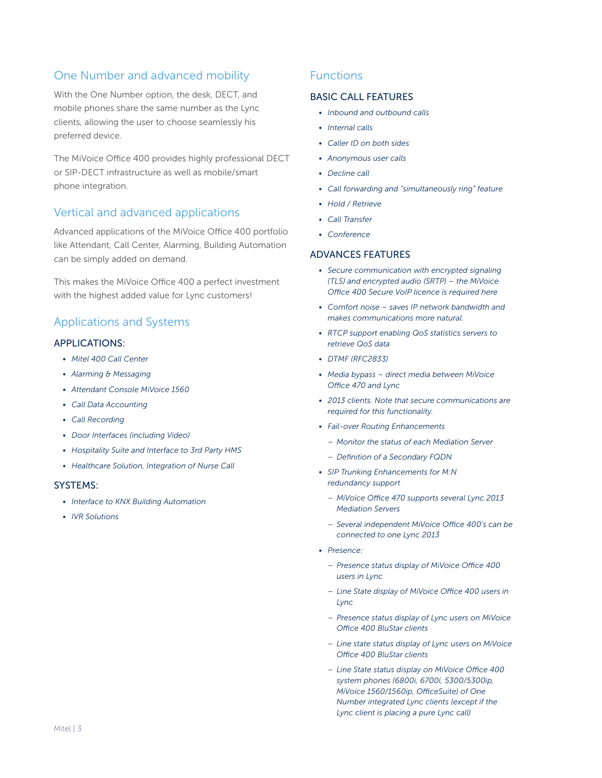## One Number and advanced mobility

With the One Number option, the desk, DECT, and mobile phones share the same number as the Lync clients, allowing the user to choose seamlessly his preferred device.

The MiVoice Office 400 provides highly professional DECT or SIP-DECT infrastructure as well as mobile/smart phone integration.

## Vertical and advanced applications

Advanced applications of the MiVoice Office 400 portfolio like Attendant, Call Center, Alarming, Building Automation can be simply added on demand.

This makes the MiVoice Office 400 a perfect investment with the highest added value for Lync customers!

### Applications and Systems

#### APPLICATIONS:

- *• Mitel 400 Call Center*
- *• Alarming & Messaging*
- *• Attendant Console MiVoice 1560*
- *• Call Data Accounting*
- *• Call Recording*
- *• Door Interfaces (including Video)*
- *• Hospitality Suite and Interface to 3rd Party HMS*
- *• Healthcare Solution, Integration of Nurse Call*

#### SYSTEMS:

- *• Interface to KNX Building Automation*
- *• IVR Solutions*

#### Functions

#### BASIC CALL FEATURES

- *• Inbound and outbound calls*
- *• Internal calls*
- *• Caller ID on both sides*
- *• Anonymous user calls*
- *• Decline call*
- *• Call forwarding and "simultaneously ring" feature*
- *• Hold / Retrieve*
- *• Call Transfer*
- *• Conference*

#### ADVANCES FEATURES

- *• Secure communication with encrypted signaling (TLS) and encrypted audio (SRTP) – the MiVoice Office 400 Secure VoIP licence is required here*
- *• Comfort noise saves IP network bandwidth and makes communications more natural.*
- *• RTCP support enabling QoS statistics servers to retrieve QoS data*
- *• DTMF (RFC2833)*
- *• Media bypass direct media between MiVoice Office 470 and Lync*
- *• 2013 clients. Note that secure communications are required for this functionality.*
- *• Fail-over Routing Enhancements*
	- *– Monitor the status of each Mediation Server*
	- *– Definition of a Secondary FQDN*
- *• SIP Trunking Enhancements for M:N redundancy support*
	- *– MiVoice Office 470 supports several Lync 2013 Mediation Servers*
	- *– Several independent MiVoice Office 400's can be connected to one Lync 2013*
- *• Presence:*
	- *– Presence status display of MiVoice Office 400 users in Lync*
	- *– Line State display of MiVoice Office 400 users in Lync*
	- *– Presence status display of Lync users on MiVoice Office 400 BluStar clients*
	- *– Line state status display of Lync users on MiVoice Office 400 BluStar clients*
	- *– Line State status display on MiVoice Office 400 system phones (6800i, 6700i, 5300/5300ip, MiVoice 1560/1560ip, OfficeSuite) of One Number integrated Lync clients (except if the Lync client is placing a pure Lync call)*